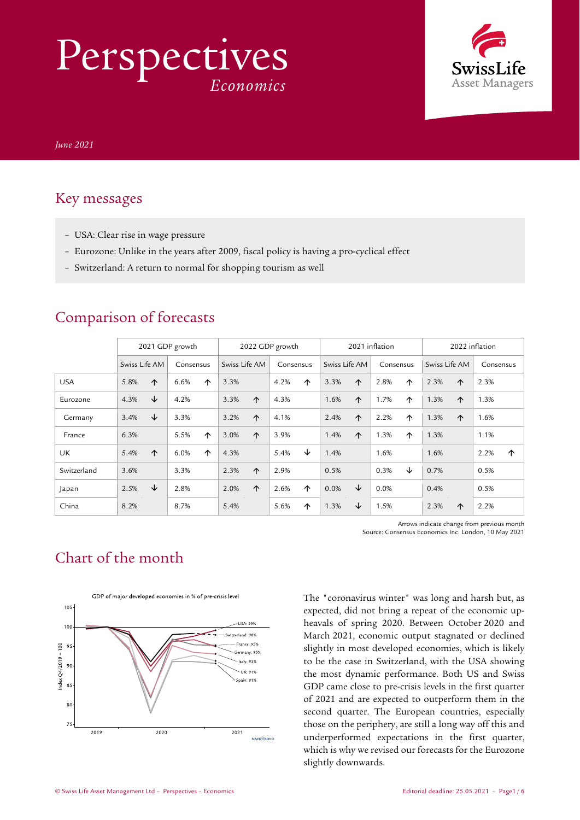# Perspectives *Economics*



*June 2021*

### Key messages

- USA: Clear rise in wage pressure
- Eurozone: Unlike in the years after 2009, fiscal policy is having a pro-cyclical effect
- Switzerland: A return to normal for shopping tourism as well

|             | 2021 GDP growth |            |           | 2022 GDP growth |               |            | 2021 inflation |   |               | 2022 inflation |           |   |               |            |           |            |
|-------------|-----------------|------------|-----------|-----------------|---------------|------------|----------------|---|---------------|----------------|-----------|---|---------------|------------|-----------|------------|
|             | Swiss Life AM   |            | Consensus |                 | Swiss Life AM |            | Consensus      |   | Swiss Life AM |                | Consensus |   | Swiss Life AM |            | Consensus |            |
| <b>USA</b>  | 5.8%            | ↑          | 6.6%      | ↑               | 3.3%          |            | 4.2%           | ↑ | 3.3%          | $\uparrow$     | 2.8%      | ↑ | 2.3%          | $\uparrow$ | 2.3%      |            |
| Eurozone    | 4.3%            | ↓          | 4.2%      |                 | 3.3%          | ↑          | 4.3%           |   | 1.6%          | ↑              | 1.7%      | ↑ | 1.3%          | ↑          | 1.3%      |            |
| Germany     | 3.4%            | ↓          | 3.3%      |                 | 3.2%          | ↑          | 4.1%           |   | 2.4%          | ↑              | 2.2%      | 个 | 1.3%          | $\uparrow$ | 1.6%      |            |
| France      | 6.3%            |            | 5.5%      | ↑               | 3.0%          | $\uparrow$ | 3.9%           |   | 1.4%          | ↑              | 1.3%      | ↑ | 1.3%          |            | 1.1%      |            |
| <b>UK</b>   | 5.4%            | $\uparrow$ | 6.0%      | ↑               | 4.3%          |            | 5.4%           | ↓ | 1.4%          |                | 1.6%      |   | 1.6%          |            | 2.2%      | $\uparrow$ |
| Switzerland | 3.6%            |            | 3.3%      |                 | 2.3%          | $\uparrow$ | 2.9%           |   | 0.5%          |                | 0.3%      | ↓ | 0.7%          |            | 0.5%      |            |
| Japan       | 2.5%            | ↓          | 2.8%      |                 | 2.0%          | $\uparrow$ | 2.6%           | ↑ | 0.0%          | ↓              | 0.0%      |   | 0.4%          |            | 0.5%      |            |
| China       | 8.2%            |            | 8.7%      |                 | 5.4%          |            | 5.6%           | ↑ | 1.3%          | ↓              | 1.5%      |   | 2.3%          | 个          | 2.2%      |            |

### Comparison of forecasts

Arrows indicate change from previous month Source: Consensus Economics Inc. London, 10 May 2021

### Chart of the month



The "coronavirus winter" was long and harsh but, as expected, did not bring a repeat of the economic upheavals of spring 2020. Between October 2020 and March 2021, economic output stagnated or declined slightly in most developed economies, which is likely to be the case in Switzerland, with the USA showing the most dynamic performance. Both US and Swiss GDP came close to pre-crisis levels in the first quarter of 2021 and are expected to outperform them in the second quarter. The European countries, especially those on the periphery, are still a long way off this and underperformed expectations in the first quarter, which is why we revised our forecasts for the Eurozone slightly downwards.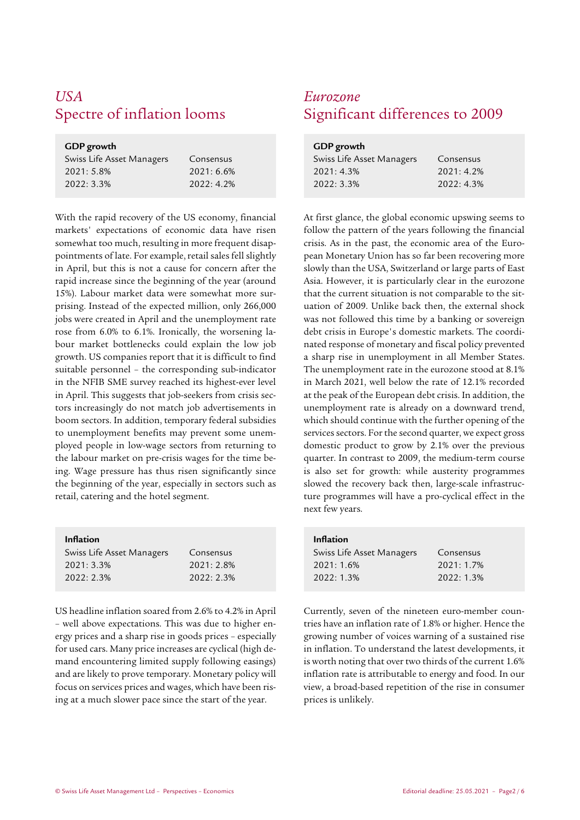# *USA Eurozone*

#### **GDP growth**

| Swiss Life Asset Managers | Consensus  |
|---------------------------|------------|
| $2021:5.8\%$              | 2021: 6.6% |
| $2022:3.3\%$              | 2022:4.2%  |

With the rapid recovery of the US economy, financial markets' expectations of economic data have risen somewhat too much, resulting in more frequent disappointments of late. For example, retail sales fell slightly in April, but this is not a cause for concern after the rapid increase since the beginning of the year (around 15%). Labour market data were somewhat more surprising. Instead of the expected million, only 266,000 jobs were created in April and the unemployment rate rose from 6.0% to 6.1%. Ironically, the worsening labour market bottlenecks could explain the low job growth. US companies report that it is difficult to find suitable personnel – the corresponding sub-indicator in the NFIB SME survey reached its highest-ever level in April. This suggests that job-seekers from crisis sectors increasingly do not match job advertisements in boom sectors. In addition, temporary federal subsidies to unemployment benefits may prevent some unemployed people in low-wage sectors from returning to the labour market on pre-crisis wages for the time being. Wage pressure has thus risen significantly since the beginning of the year, especially in sectors such as retail, catering and the hotel segment.

#### **Inflation**

| Swiss Life Asset Managers | Consensus  |
|---------------------------|------------|
| $2021:3.3\%$              | 2021: 2.8% |
| 2022: 2.3%                | 2022: 2.3% |

US headline inflation soared from 2.6% to 4.2% in April – well above expectations. This was due to higher energy prices and a sharp rise in goods prices – especially for used cars. Many price increases are cyclical (high demand encountering limited supply following easings) and are likely to prove temporary. Monetary policy will focus on services prices and wages, which have been rising at a much slower pace since the start of the year.

### Significant differences to 2009

| <b>GDP</b> growth         |           |
|---------------------------|-----------|
| Swiss Life Asset Managers | Consensus |
| 2021:4.3%                 | 2021:4.2% |
| 2022: 3.3%                | 2022:4.3% |

At first glance, the global economic upswing seems to follow the pattern of the years following the financial crisis. As in the past, the economic area of the European Monetary Union has so far been recovering more slowly than the USA, Switzerland or large parts of East Asia. However, it is particularly clear in the eurozone that the current situation is not comparable to the situation of 2009. Unlike back then, the external shock was not followed this time by a banking or sovereign debt crisis in Europe's domestic markets. The coordinated response of monetary and fiscal policy prevented a sharp rise in unemployment in all Member States. The unemployment rate in the eurozone stood at 8.1% in March 2021, well below the rate of 12.1% recorded at the peak of the European debt crisis. In addition, the unemployment rate is already on a downward trend, which should continue with the further opening of the services sectors. For the second quarter, we expect gross domestic product to grow by 2.1% over the previous quarter. In contrast to 2009, the medium-term course is also set for growth: while austerity programmes slowed the recovery back then, large-scale infrastructure programmes will have a pro-cyclical effect in the next few years.

| <b>Inflation</b>          |              |
|---------------------------|--------------|
| Swiss Life Asset Managers | Consensus    |
| 2021:1.6%                 | 2021:1.7%    |
| 2022:1.3%                 | $2022:1.3\%$ |

Currently, seven of the nineteen euro-member countries have an inflation rate of 1.8% or higher. Hence the growing number of voices warning of a sustained rise in inflation. To understand the latest developments, it is worth noting that over two thirds of the current 1.6% inflation rate is attributable to energy and food. In our view, a broad-based repetition of the rise in consumer prices is unlikely.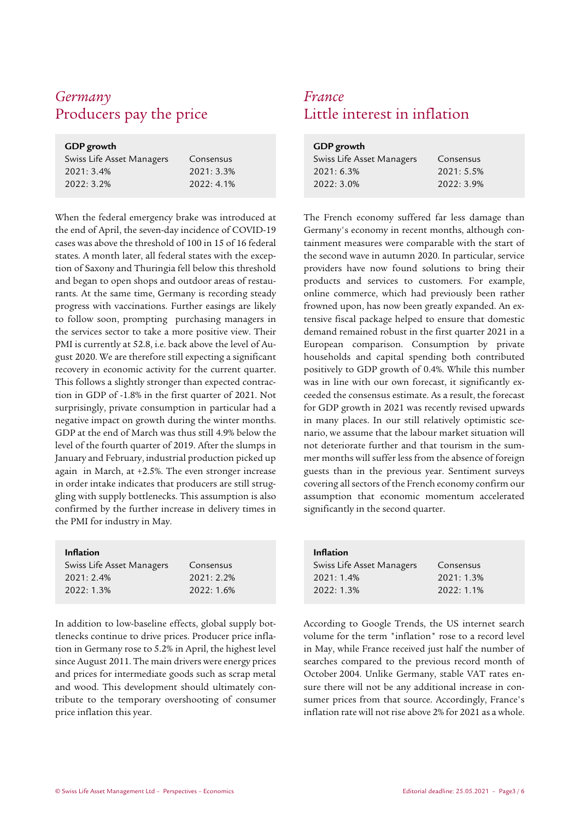### *Germany France*

#### **GDP growth**

| Swiss Life Asset Managers | Consensus  |
|---------------------------|------------|
| 2021:3.4%                 | 2021: 3.3% |
| 2022: 3.2%                | 2022: 4.1% |

When the federal emergency brake was introduced at the end of April, the seven-day incidence of COVID-19 cases was above the threshold of 100 in 15 of 16 federal states. A month later, all federal states with the exception of Saxony and Thuringia fell below this threshold and began to open shops and outdoor areas of restaurants. At the same time, Germany is recording steady progress with vaccinations. Further easings are likely to follow soon, prompting purchasing managers in the services sector to take a more positive view. Their PMI is currently at 52.8, i.e. back above the level of August 2020. We are therefore still expecting a significant recovery in economic activity for the current quarter. This follows a slightly stronger than expected contraction in GDP of -1.8% in the first quarter of 2021. Not surprisingly, private consumption in particular had a negative impact on growth during the winter months. GDP at the end of March was thus still 4.9% below the level of the fourth quarter of 2019. After the slumps in January and February, industrial production picked up again in March, at +2.5%. The even stronger increase in order intake indicates that producers are still struggling with supply bottlenecks. This assumption is also confirmed by the further increase in delivery times in the PMI for industry in May.

#### **Inflation**

| Swiss Life Asset Managers | Consensus  |
|---------------------------|------------|
| 2021:2.4%                 | 2021:2.2%  |
| 2022:1.3%                 | 2022: 1.6% |

In addition to low-baseline effects, global supply bottlenecks continue to drive prices. Producer price inflation in Germany rose to 5.2% in April, the highest level since August 2011. The main drivers were energy prices and prices for intermediate goods such as scrap metal and wood. This development should ultimately contribute to the temporary overshooting of consumer price inflation this year.

### Producers pay the price Little interest in inflation

| GDP growth                |              |
|---------------------------|--------------|
| Swiss Life Asset Managers | Consensus    |
| 2021: 6.3%                | $2021:5.5\%$ |
| 2022:3.0%                 | 2022:3.9%    |

The French economy suffered far less damage than Germany's economy in recent months, although containment measures were comparable with the start of the second wave in autumn 2020. In particular, service providers have now found solutions to bring their products and services to customers. For example, online commerce, which had previously been rather frowned upon, has now been greatly expanded. An extensive fiscal package helped to ensure that domestic demand remained robust in the first quarter 2021 in a European comparison. Consumption by private households and capital spending both contributed positively to GDP growth of 0.4%. While this number was in line with our own forecast, it significantly exceeded the consensus estimate. As a result, the forecast for GDP growth in 2021 was recently revised upwards in many places. In our still relatively optimistic scenario, we assume that the labour market situation will not deteriorate further and that tourism in the summer months will suffer less from the absence of foreign guests than in the previous year. Sentiment surveys covering all sectors of the French economy confirm our assumption that economic momentum accelerated significantly in the second quarter.

| <b>Inflation</b>          |              |
|---------------------------|--------------|
| Swiss Life Asset Managers | Consensus    |
| 2021:1.4%                 | 2021:1.3%    |
| 2022: 1.3%                | $2022:1.1\%$ |

According to Google Trends, the US internet search volume for the term "inflation" rose to a record level in May, while France received just half the number of searches compared to the previous record month of October 2004. Unlike Germany, stable VAT rates ensure there will not be any additional increase in consumer prices from that source. Accordingly, France's inflation rate will not rise above 2% for 2021 as a whole.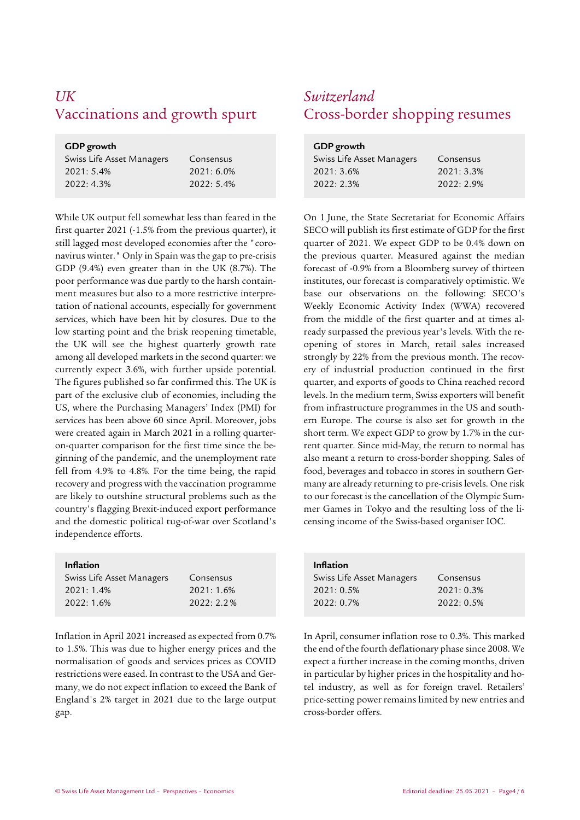# *UK Switzerland*

| GDP growth                |              |
|---------------------------|--------------|
| Swiss Life Asset Managers | Consensus    |
| 2021:5.4%                 | $2021:6.0\%$ |
| 2022:4.3%                 | 2022:5.4%    |
|                           |              |

While UK output fell somewhat less than feared in the first quarter 2021 (-1.5% from the previous quarter), it still lagged most developed economies after the "coronavirus winter." Only in Spain was the gap to pre-crisis GDP (9.4%) even greater than in the UK (8.7%). The poor performance was due partly to the harsh containment measures but also to a more restrictive interpretation of national accounts, especially for government services, which have been hit by closures. Due to the low starting point and the brisk reopening timetable, the UK will see the highest quarterly growth rate among all developed markets in the second quarter: we currently expect 3.6%, with further upside potential. The figures published so far confirmed this. The UK is part of the exclusive club of economies, including the US, where the Purchasing Managers' Index (PMI) for services has been above 60 since April. Moreover, jobs were created again in March 2021 in a rolling quarteron-quarter comparison for the first time since the beginning of the pandemic, and the unemployment rate fell from 4.9% to 4.8%. For the time being, the rapid recovery and progress with the vaccination programme are likely to outshine structural problems such as the country's flagging Brexit-induced export performance and the domestic political tug-of-war over Scotland's independence efforts.

| <b>Inflation</b>          |           |
|---------------------------|-----------|
| Swiss Life Asset Managers | Consensus |
| 2021:1.4%                 | 2021:1.6% |
| 2022:1.6%                 | 2022:2.2% |
|                           |           |

Inflation in April 2021 increased as expected from 0.7% to 1.5%. This was due to higher energy prices and the normalisation of goods and services prices as COVID restrictions were eased. In contrast to the USA and Germany, we do not expect inflation to exceed the Bank of England's 2% target in 2021 due to the large output gap.

## Vaccinations and growth spurt Cross-border shopping resumes

| GDP growth                |           |  |  |  |  |
|---------------------------|-----------|--|--|--|--|
| Swiss Life Asset Managers | Consensus |  |  |  |  |
| 2021:3.6%                 | 2021:3.3% |  |  |  |  |
| 2022:2.3%                 | 2022:2.9% |  |  |  |  |

On 1 June, the State Secretariat for Economic Affairs SECO will publish its first estimate of GDP for the first quarter of 2021. We expect GDP to be 0.4% down on the previous quarter. Measured against the median forecast of -0.9% from a Bloomberg survey of thirteen institutes, our forecast is comparatively optimistic. We base our observations on the following: SECO's Weekly Economic Activity Index (WWA) recovered from the middle of the first quarter and at times already surpassed the previous year's levels. With the reopening of stores in March, retail sales increased strongly by 22% from the previous month. The recovery of industrial production continued in the first quarter, and exports of goods to China reached record levels. In the medium term, Swiss exporters will benefit from infrastructure programmes in the US and southern Europe. The course is also set for growth in the short term. We expect GDP to grow by 1.7% in the current quarter. Since mid-May, the return to normal has also meant a return to cross-border shopping. Sales of food, beverages and tobacco in stores in southern Germany are already returning to pre-crisis levels. One risk to our forecast is the cancellation of the Olympic Summer Games in Tokyo and the resulting loss of the licensing income of the Swiss-based organiser IOC.

| <b>Inflation</b>          |           |
|---------------------------|-----------|
| Swiss Life Asset Managers | Consensus |
| 2021:0.5%                 | 2021:0.3% |
| 2022:0.7%                 | 2022:0.5% |

In April, consumer inflation rose to 0.3%. This marked the end of the fourth deflationary phase since 2008. We expect a further increase in the coming months, driven in particular by higher prices in the hospitality and hotel industry, as well as for foreign travel. Retailers' price-setting power remains limited by new entries and cross-border offers.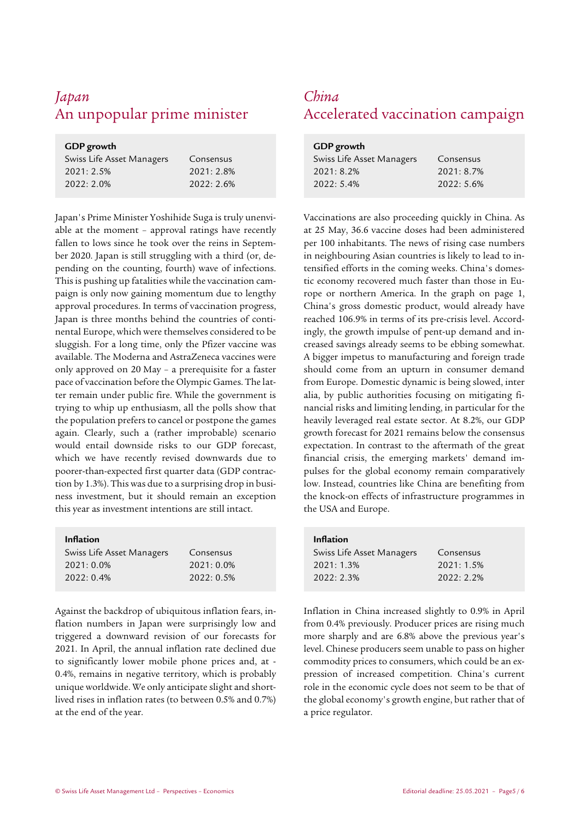# *Japan China*

| Consensus |
|-----------|
| 2021:2.8% |
| 2022:2.6% |
|           |

Japan's Prime Minister Yoshihide Suga is truly unenviable at the moment – approval ratings have recently fallen to lows since he took over the reins in September 2020. Japan is still struggling with a third (or, depending on the counting, fourth) wave of infections. This is pushing up fatalities while the vaccination campaign is only now gaining momentum due to lengthy approval procedures. In terms of vaccination progress, Japan is three months behind the countries of continental Europe, which were themselves considered to be sluggish. For a long time, only the Pfizer vaccine was available. The Moderna and AstraZeneca vaccines were only approved on 20 May – a prerequisite for a faster pace of vaccination before the Olympic Games. The latter remain under public fire. While the government is trying to whip up enthusiasm, all the polls show that the population prefers to cancel or postpone the games again. Clearly, such a (rather improbable) scenario would entail downside risks to our GDP forecast, which we have recently revised downwards due to poorer-than-expected first quarter data (GDP contraction by 1.3%). This was due to a surprising drop in business investment, but it should remain an exception this year as investment intentions are still intact.

#### **Inflation**

| Swiss Life Asset Managers | Consensus  |
|---------------------------|------------|
| 2021: 0.0%                | 2021: 0.0% |
| 2022: 0.4%                | 2022: 0.5% |

Against the backdrop of ubiquitous inflation fears, inflation numbers in Japan were surprisingly low and triggered a downward revision of our forecasts for 2021. In April, the annual inflation rate declined due to significantly lower mobile phone prices and, at - 0.4%, remains in negative territory, which is probably unique worldwide. We only anticipate slight and shortlived rises in inflation rates (to between 0.5% and 0.7%) at the end of the year.

### An unpopular prime minister Accelerated vaccination campaign

| <b>GDP</b> growth         |           |
|---------------------------|-----------|
| Swiss Life Asset Managers | Consensus |
| 2021:8.2%                 | 2021:8.7% |
| 2022:5.4%                 | 2022:5.6% |

Vaccinations are also proceeding quickly in China. As at 25 May, 36.6 vaccine doses had been administered per 100 inhabitants. The news of rising case numbers in neighbouring Asian countries is likely to lead to intensified efforts in the coming weeks. China's domestic economy recovered much faster than those in Europe or northern America. In the graph on page 1, China's gross domestic product, would already have reached 106.9% in terms of its pre-crisis level. Accordingly, the growth impulse of pent-up demand and increased savings already seems to be ebbing somewhat. A bigger impetus to manufacturing and foreign trade should come from an upturn in consumer demand from Europe. Domestic dynamic is being slowed, inter alia, by public authorities focusing on mitigating financial risks and limiting lending, in particular for the heavily leveraged real estate sector. At 8.2%, our GDP growth forecast for 2021 remains below the consensus expectation. In contrast to the aftermath of the great financial crisis, the emerging markets' demand impulses for the global economy remain comparatively low. Instead, countries like China are benefiting from the knock-on effects of infrastructure programmes in the USA and Europe.

| <b>Inflation</b>          |              |
|---------------------------|--------------|
| Swiss Life Asset Managers | Consensus    |
| 2021:1.3%                 | 2021:1.5%    |
| $2022:2.3\%$              | $2022:2.2\%$ |

Inflation in China increased slightly to 0.9% in April from 0.4% previously. Producer prices are rising much more sharply and are 6.8% above the previous year's level. Chinese producers seem unable to pass on higher commodity prices to consumers, which could be an expression of increased competition. China's current role in the economic cycle does not seem to be that of the global economy's growth engine, but rather that of a price regulator.